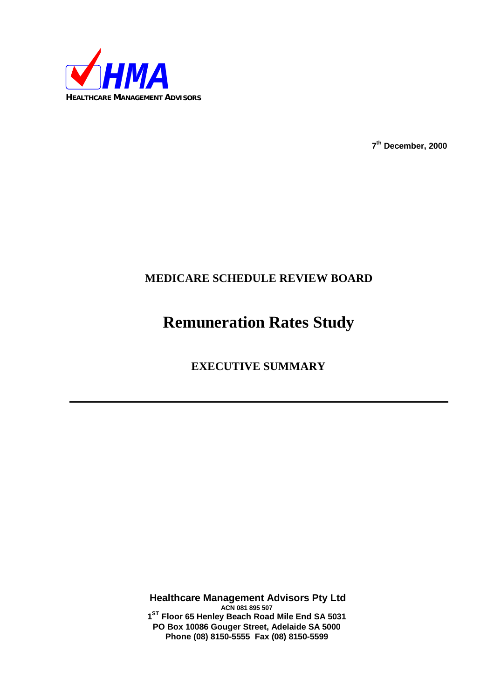

**7 th December, 2000**

# **MEDICARE SCHEDULE REVIEW BOARD**

# **Remuneration Rates Study**

# **EXECUTIVE SUMMARY**

**Healthcare Management Advisors Pty Ltd ACN 081 895 507 1 ST Floor 65 Henley Beach Road Mile End SA 5031 PO Box 10086 Gouger Street, Adelaide SA 5000 Phone (08) 8150-5555 Fax (08) 8150-5599**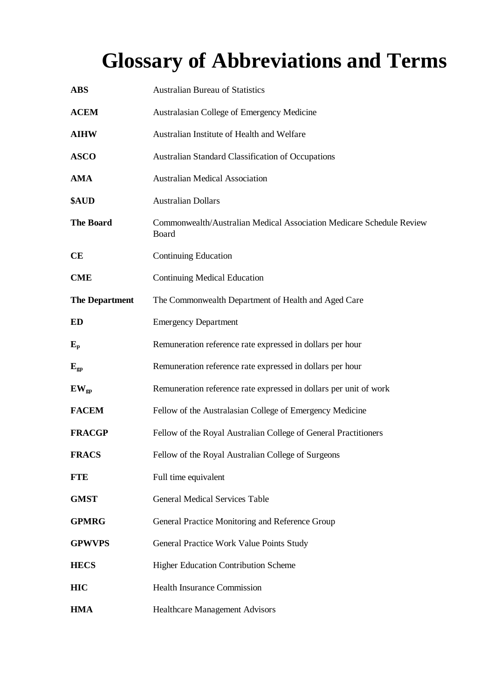# **Glossary of Abbreviations and Terms**

| <b>ABS</b>            | <b>Australian Bureau of Statistics</b>                                        |
|-----------------------|-------------------------------------------------------------------------------|
| <b>ACEM</b>           | Australasian College of Emergency Medicine                                    |
| <b>AIHW</b>           | Australian Institute of Health and Welfare                                    |
| <b>ASCO</b>           | Australian Standard Classification of Occupations                             |
| <b>AMA</b>            | <b>Australian Medical Association</b>                                         |
| \$AUD                 | <b>Australian Dollars</b>                                                     |
| <b>The Board</b>      | Commonwealth/Australian Medical Association Medicare Schedule Review<br>Board |
| CE                    | <b>Continuing Education</b>                                                   |
| <b>CME</b>            | <b>Continuing Medical Education</b>                                           |
| <b>The Department</b> | The Commonwealth Department of Health and Aged Care                           |
| ED                    | <b>Emergency Department</b>                                                   |
| $E_{\rm p}$           | Remuneration reference rate expressed in dollars per hour                     |
| $E_{gp}$              | Remuneration reference rate expressed in dollars per hour                     |
| $EW_{gp}$             | Remuneration reference rate expressed in dollars per unit of work             |
| <b>FACEM</b>          | Fellow of the Australasian College of Emergency Medicine                      |
| <b>FRACGP</b>         | Fellow of the Royal Australian College of General Practitioners               |
| <b>FRACS</b>          | Fellow of the Royal Australian College of Surgeons                            |
| <b>FTE</b>            | Full time equivalent                                                          |
| <b>GMST</b>           | <b>General Medical Services Table</b>                                         |
| <b>GPMRG</b>          | General Practice Monitoring and Reference Group                               |
| <b>GPWVPS</b>         | General Practice Work Value Points Study                                      |
| <b>HECS</b>           | Higher Education Contribution Scheme                                          |
| <b>HIC</b>            | <b>Health Insurance Commission</b>                                            |
| <b>HMA</b>            | <b>Healthcare Management Advisors</b>                                         |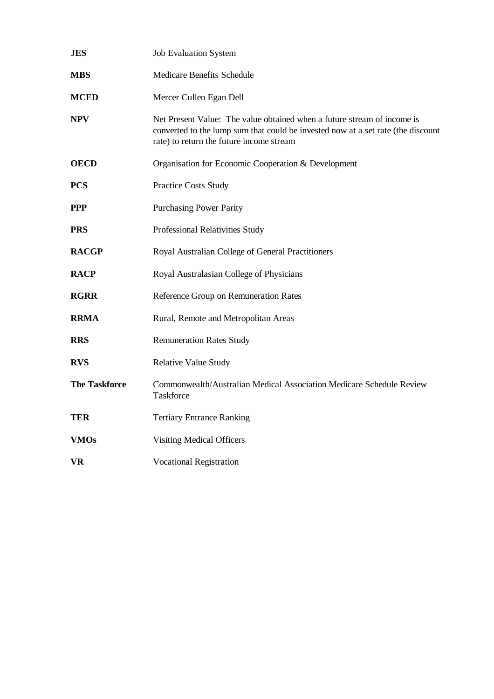| <b>JES</b>           | <b>Job Evaluation System</b>                                                                                                                                                                            |
|----------------------|---------------------------------------------------------------------------------------------------------------------------------------------------------------------------------------------------------|
| <b>MBS</b>           | Medicare Benefits Schedule                                                                                                                                                                              |
| <b>MCED</b>          | Mercer Cullen Egan Dell                                                                                                                                                                                 |
| <b>NPV</b>           | Net Present Value: The value obtained when a future stream of income is<br>converted to the lump sum that could be invested now at a set rate (the discount<br>rate) to return the future income stream |
| <b>OECD</b>          | Organisation for Economic Cooperation & Development                                                                                                                                                     |
| <b>PCS</b>           | <b>Practice Costs Study</b>                                                                                                                                                                             |
| <b>PPP</b>           | <b>Purchasing Power Parity</b>                                                                                                                                                                          |
| <b>PRS</b>           | Professional Relativities Study                                                                                                                                                                         |
| <b>RACGP</b>         | Royal Australian College of General Practitioners                                                                                                                                                       |
| <b>RACP</b>          | Royal Australasian College of Physicians                                                                                                                                                                |
| <b>RGRR</b>          | Reference Group on Remuneration Rates                                                                                                                                                                   |
| <b>RRMA</b>          | Rural, Remote and Metropolitan Areas                                                                                                                                                                    |
| <b>RRS</b>           | <b>Remuneration Rates Study</b>                                                                                                                                                                         |
| <b>RVS</b>           | <b>Relative Value Study</b>                                                                                                                                                                             |
| <b>The Taskforce</b> | Commonwealth/Australian Medical Association Medicare Schedule Review<br>Taskforce                                                                                                                       |
| <b>TER</b>           | <b>Tertiary Entrance Ranking</b>                                                                                                                                                                        |
| <b>VMOs</b>          | <b>Visiting Medical Officers</b>                                                                                                                                                                        |
| <b>VR</b>            | <b>Vocational Registration</b>                                                                                                                                                                          |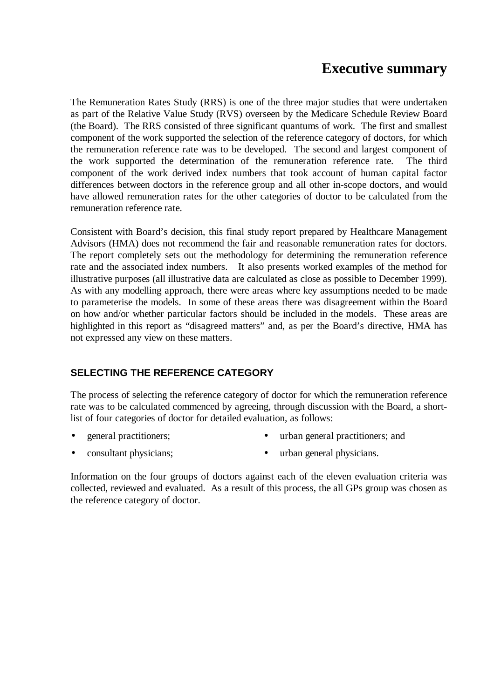# **Executive summary**

The Remuneration Rates Study (RRS) is one of the three major studies that were undertaken as part of the Relative Value Study (RVS) overseen by the Medicare Schedule Review Board (the Board). The RRS consisted of three significant quantums of work. The first and smallest component of the work supported the selection of the reference category of doctors, for which the remuneration reference rate was to be developed. The second and largest component of the work supported the determination of the remuneration reference rate. The third component of the work derived index numbers that took account of human capital factor differences between doctors in the reference group and all other in-scope doctors, and would have allowed remuneration rates for the other categories of doctor to be calculated from the remuneration reference rate.

Consistent with Board's decision, this final study report prepared by Healthcare Management Advisors (HMA) does not recommend the fair and reasonable remuneration rates for doctors. The report completely sets out the methodology for determining the remuneration reference rate and the associated index numbers. It also presents worked examples of the method for illustrative purposes (all illustrative data are calculated as close as possible to December 1999). As with any modelling approach, there were areas where key assumptions needed to be made to parameterise the models. In some of these areas there was disagreement within the Board on how and/or whether particular factors should be included in the models. These areas are highlighted in this report as "disagreed matters" and, as per the Board's directive, HMA has not expressed any view on these matters.

# **SELECTING THE REFERENCE CATEGORY**

The process of selecting the reference category of doctor for which the remuneration reference rate was to be calculated commenced by agreeing, through discussion with the Board, a shortlist of four categories of doctor for detailed evaluation, as follows:

- 
- general practitioners; urban general practitioners; and
- 
- consultant physicians; urban general physicians.

Information on the four groups of doctors against each of the eleven evaluation criteria was collected, reviewed and evaluated. As a result of this process, the all GPs group was chosen as the reference category of doctor.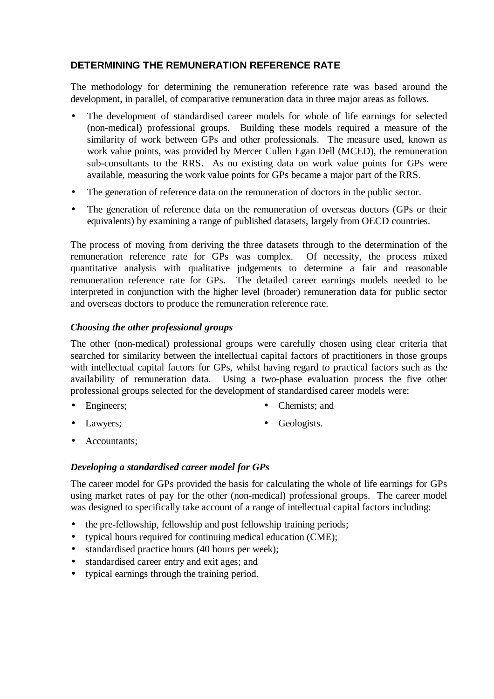# **DETERMINING THE REMUNERATION REFERENCE RATE**

The methodology for determining the remuneration reference rate was based around the development, in parallel, of comparative remuneration data in three major areas as follows.

- The development of standardised career models for whole of life earnings for selected (non-medical) professional groups. Building these models required a measure of the similarity of work between GPs and other professionals. The measure used, known as work value points, was provided by Mercer Cullen Egan Dell (MCED), the remuneration sub-consultants to the RRS. As no existing data on work value points for GPs were available, measuring the work value points for GPs became a major part of the RRS.
- The generation of reference data on the remuneration of doctors in the public sector.
- The generation of reference data on the remuneration of overseas doctors (GPs or their equivalents) by examining a range of published datasets, largely from OECD countries.

The process of moving from deriving the three datasets through to the determination of the remuneration reference rate for GPs was complex. Of necessity, the process mixed quantitative analysis with qualitative judgements to determine a fair and reasonable remuneration reference rate for GPs. The detailed career earnings models needed to be interpreted in conjunction with the higher level (broader) remuneration data for public sector and overseas doctors to produce the remuneration reference rate.

#### *Choosing the other professional groups*

The other (non-medical) professional groups were carefully chosen using clear criteria that searched for similarity between the intellectual capital factors of practitioners in those groups with intellectual capital factors for GPs, whilst having regard to practical factors such as the availability of remuneration data. Using a two-phase evaluation process the five other professional groups selected for the development of standardised career models were:

- 
- Engineers; Chemists; and
- - Lawyers: Ceologists.
- Accountants;

## *Developing a standardised career model for GPs*

The career model for GPs provided the basis for calculating the whole of life earnings for GPs using market rates of pay for the other (non-medical) professional groups. The career model was designed to specifically take account of a range of intellectual capital factors including:

- the pre-fellowship, fellowship and post fellowship training periods;
- typical hours required for continuing medical education (CME);
- standardised practice hours (40 hours per week);
- standardised career entry and exit ages; and
- typical earnings through the training period.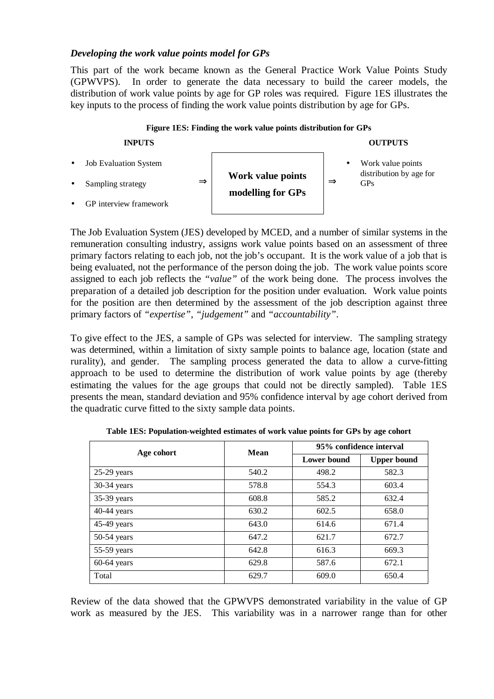#### *Developing the work value points model for GPs*

This part of the work became known as the General Practice Work Value Points Study (GPWVPS). In order to generate the data necessary to build the career models, the distribution of work value points by age for GP roles was required. Figure 1ES illustrates the key inputs to the process of finding the work value points distribution by age for GPs.



The Job Evaluation System (JES) developed by MCED, and a number of similar systems in the remuneration consulting industry, assigns work value points based on an assessment of three primary factors relating to each job, not the job's occupant. It is the work value of a job that is being evaluated, not the performance of the person doing the job. The work value points score assigned to each job reflects the *"value"* of the work being done. The process involves the preparation of a detailed job description for the position under evaluation. Work value points for the position are then determined by the assessment of the job description against three primary factors of *"expertise"*, *"judgement"* and *"accountability"*.

To give effect to the JES, a sample of GPs was selected for interview. The sampling strategy was determined, within a limitation of sixty sample points to balance age, location (state and rurality), and gender. The sampling process generated the data to allow a curve-fitting approach to be used to determine the distribution of work value points by age (thereby estimating the values for the age groups that could not be directly sampled). Table 1ES presents the mean, standard deviation and 95% confidence interval by age cohort derived from the quadratic curve fitted to the sixty sample data points.

| Age cohort    | <b>Mean</b> | 95% confidence interval |                    |  |  |
|---------------|-------------|-------------------------|--------------------|--|--|
|               |             | <b>Lower bound</b>      | <b>Upper bound</b> |  |  |
| $25-29$ years | 540.2       | 498.2                   | 582.3              |  |  |
| 30-34 years   | 578.8       | 554.3                   | 603.4              |  |  |
| 35-39 years   | 608.8       | 585.2                   | 632.4              |  |  |
| 40-44 years   | 630.2       | 602.5                   | 658.0              |  |  |
| 45-49 years   | 643.0       | 614.6                   | 671.4              |  |  |
| $50-54$ years | 647.2       | 621.7                   | 672.7              |  |  |
| 55-59 years   | 642.8       | 616.3                   | 669.3              |  |  |
| $60-64$ years | 629.8       | 587.6                   | 672.1              |  |  |
| Total         | 629.7       | 609.0                   | 650.4              |  |  |

**Table 1ES: Population-weighted estimates of work value points for GPs by age cohort**

Review of the data showed that the GPWVPS demonstrated variability in the value of GP work as measured by the JES. This variability was in a narrower range than for other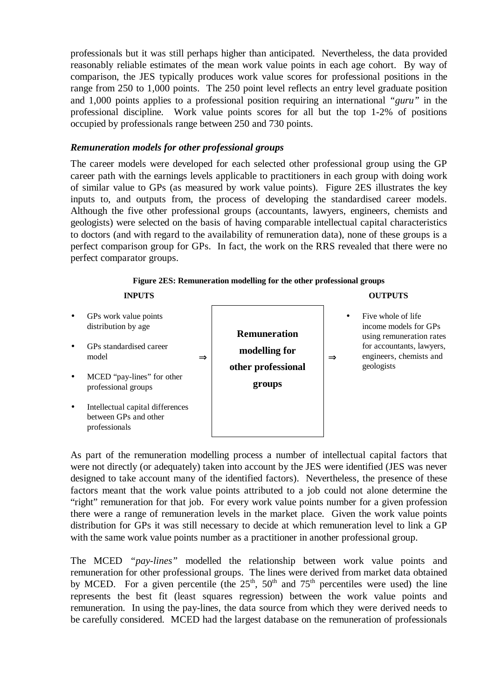professionals but it was still perhaps higher than anticipated. Nevertheless, the data provided reasonably reliable estimates of the mean work value points in each age cohort. By way of comparison, the JES typically produces work value scores for professional positions in the range from 250 to 1,000 points. The 250 point level reflects an entry level graduate position and 1,000 points applies to a professional position requiring an international *"guru"* in the professional discipline. Work value points scores for all but the top 1-2% of positions occupied by professionals range between 250 and 730 points.

#### *Remuneration models for other professional groups*

The career models were developed for each selected other professional group using the GP career path with the earnings levels applicable to practitioners in each group with doing work of similar value to GPs (as measured by work value points). Figure 2ES illustrates the key inputs to, and outputs from, the process of developing the standardised career models. Although the five other professional groups (accountants, lawyers, engineers, chemists and geologists) were selected on the basis of having comparable intellectual capital characteristics to doctors (and with regard to the availability of remuneration data), none of these groups is a perfect comparison group for GPs. In fact, the work on the RRS revealed that there were no perfect comparator groups.



#### **Figure 2ES: Remuneration modelling for the other professional groups**

As part of the remuneration modelling process a number of intellectual capital factors that were not directly (or adequately) taken into account by the JES were identified (JES was never designed to take account many of the identified factors). Nevertheless, the presence of these factors meant that the work value points attributed to a job could not alone determine the "right" remuneration for that job. For every work value points number for a given profession there were a range of remuneration levels in the market place. Given the work value points distribution for GPs it was still necessary to decide at which remuneration level to link a GP with the same work value points number as a practitioner in another professional group.

The MCED *"pay-lines"* modelled the relationship between work value points and remuneration for other professional groups. The lines were derived from market data obtained by MCED. For a given percentile (the  $25<sup>th</sup>$ ,  $50<sup>th</sup>$  and  $75<sup>th</sup>$  percentiles were used) the line represents the best fit (least squares regression) between the work value points and remuneration. In using the pay-lines, the data source from which they were derived needs to be carefully considered. MCED had the largest database on the remuneration of professionals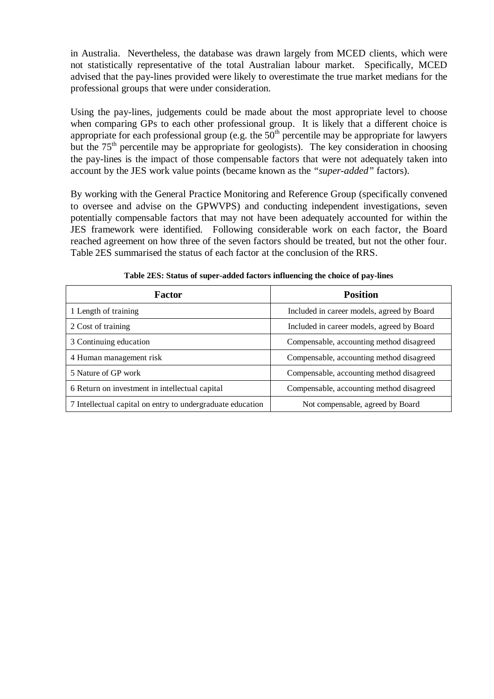in Australia. Nevertheless, the database was drawn largely from MCED clients, which were not statistically representative of the total Australian labour market. Specifically, MCED advised that the pay-lines provided were likely to overestimate the true market medians for the professional groups that were under consideration.

Using the pay-lines, judgements could be made about the most appropriate level to choose when comparing GPs to each other professional group. It is likely that a different choice is appropriate for each professional group (e.g. the  $50<sup>th</sup>$  percentile may be appropriate for lawyers but the  $75<sup>th</sup>$  percentile may be appropriate for geologists). The key consideration in choosing the pay-lines is the impact of those compensable factors that were not adequately taken into account by the JES work value points (became known as the *"super-added"* factors).

By working with the General Practice Monitoring and Reference Group (specifically convened to oversee and advise on the GPWVPS) and conducting independent investigations, seven potentially compensable factors that may not have been adequately accounted for within the JES framework were identified. Following considerable work on each factor, the Board reached agreement on how three of the seven factors should be treated, but not the other four. Table 2ES summarised the status of each factor at the conclusion of the RRS.

| Factor                                                     | <b>Position</b>                            |
|------------------------------------------------------------|--------------------------------------------|
| 1 Length of training                                       | Included in career models, agreed by Board |
| 2 Cost of training                                         | Included in career models, agreed by Board |
| 3 Continuing education                                     | Compensable, accounting method disagreed   |
| 4 Human management risk                                    | Compensable, accounting method disagreed   |
| 5 Nature of GP work                                        | Compensable, accounting method disagreed   |
| 6 Return on investment in intellectual capital             | Compensable, accounting method disagreed   |
| 7 Intellectual capital on entry to undergraduate education | Not compensable, agreed by Board           |

**Table 2ES: Status of super-added factors influencing the choice of pay-lines**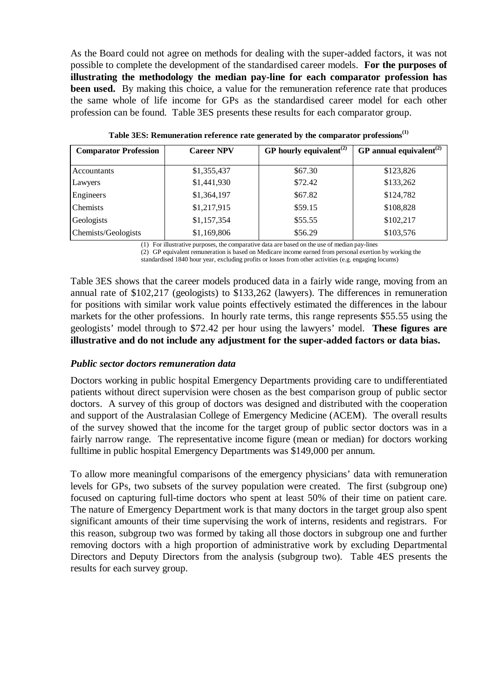As the Board could not agree on methods for dealing with the super-added factors, it was not possible to complete the development of the standardised career models. **For the purposes of illustrating the methodology the median pay-line for each comparator profession has been used.** By making this choice, a value for the remuneration reference rate that produces the same whole of life income for GPs as the standardised career model for each other profession can be found. Table 3ES presents these results for each comparator group.

| <b>Comparator Profession</b> | <b>Career NPV</b> | GP hourly equivalent <sup><math>(2)</math></sup> | GP annual equivalent <sup><math>(2)</math></sup> |
|------------------------------|-------------------|--------------------------------------------------|--------------------------------------------------|
|                              |                   |                                                  |                                                  |
| Accountants                  | \$1,355,437       | \$67.30                                          | \$123,826                                        |
| Lawyers                      | \$1,441,930       | \$72.42                                          | \$133,262                                        |
| Engineers                    | \$1,364,197       | \$67.82                                          | \$124,782                                        |
| <b>Chemists</b>              | \$1,217,915       | \$59.15                                          | \$108,828                                        |
| Geologists                   | \$1,157,354       | \$55.55                                          | \$102,217                                        |
| Chemists/Geologists          | \$1,169,806       | \$56.29                                          | \$103,576                                        |

**Table 3ES: Remuneration reference rate generated by the comparator professions(1)**

(1) For illustrative purposes, the comparative data are based on the use of median pay-lines

(2) GP equivalent remuneration is based on Medicare income earned from personal exertion by working the standardised 1840 hour year, excluding profits or losses from other activities (e.g. engaging locums)

Table 3ES shows that the career models produced data in a fairly wide range, moving from an annual rate of \$102,217 (geologists) to \$133,262 (lawyers). The differences in remuneration for positions with similar work value points effectively estimated the differences in the labour markets for the other professions. In hourly rate terms, this range represents \$55.55 using the geologists' model through to \$72.42 per hour using the lawyers' model. **These figures are illustrative and do not include any adjustment for the super-added factors or data bias.**

## *Public sector doctors remuneration data*

Doctors working in public hospital Emergency Departments providing care to undifferentiated patients without direct supervision were chosen as the best comparison group of public sector doctors. A survey of this group of doctors was designed and distributed with the cooperation and support of the Australasian College of Emergency Medicine (ACEM). The overall results of the survey showed that the income for the target group of public sector doctors was in a fairly narrow range. The representative income figure (mean or median) for doctors working fulltime in public hospital Emergency Departments was \$149,000 per annum.

To allow more meaningful comparisons of the emergency physicians' data with remuneration levels for GPs, two subsets of the survey population were created. The first (subgroup one) focused on capturing full-time doctors who spent at least 50% of their time on patient care. The nature of Emergency Department work is that many doctors in the target group also spent significant amounts of their time supervising the work of interns, residents and registrars. For this reason, subgroup two was formed by taking all those doctors in subgroup one and further removing doctors with a high proportion of administrative work by excluding Departmental Directors and Deputy Directors from the analysis (subgroup two). Table 4ES presents the results for each survey group.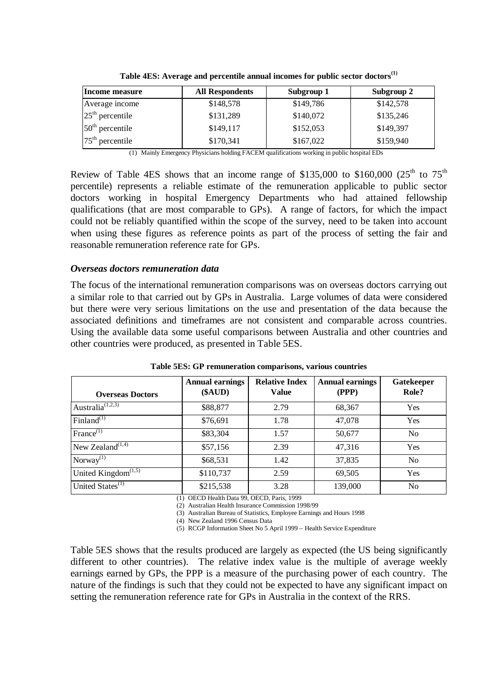| Income measure    | <b>All Respondents</b> | Subgroup 1 | Subgroup 2 |
|-------------------|------------------------|------------|------------|
| Average income    | \$148,578              | \$149,786  | \$142,578  |
| $25th$ percentile | \$131,289              | \$140,072  | \$135,246  |
| $50th$ percentile | \$149,117              | \$152,053  | \$149,397  |
| $75th$ percentile | \$170,341              | \$167,022  | \$159,940  |

**Table 4ES: Average and percentile annual incomes for public sector doctors(1)**

(1) Mainly Emergency Physicians holding FACEM qualifications working in public hospital EDs

Review of Table 4ES shows that an income range of \$135,000 to \$160,000 ( $25<sup>th</sup>$  to  $75<sup>th</sup>$ ) percentile) represents a reliable estimate of the remuneration applicable to public sector doctors working in hospital Emergency Departments who had attained fellowship qualifications (that are most comparable to GPs). A range of factors, for which the impact could not be reliably quantified within the scope of the survey, need to be taken into account when using these figures as reference points as part of the process of setting the fair and reasonable remuneration reference rate for GPs.

#### *Overseas doctors remuneration data*

The focus of the international remuneration comparisons was on overseas doctors carrying out a similar role to that carried out by GPs in Australia. Large volumes of data were considered but there were very serious limitations on the use and presentation of the data because the associated definitions and timeframes are not consistent and comparable across countries. Using the available data some useful comparisons between Australia and other countries and other countries were produced, as presented in Table 5ES.

| <b>Overseas Doctors</b>                   | <b>Annual earnings</b><br>(\$AUD) | <b>Relative Index</b><br><b>Value</b> | <b>Annual earnings</b><br>(PPP) | Gatekeeper<br>Role? |
|-------------------------------------------|-----------------------------------|---------------------------------------|---------------------------------|---------------------|
| Australia <sup><math>(1,2,3)</math></sup> | \$88,877                          | 2.79                                  | 68,367                          | Yes                 |
| Finland $^{(1)}$                          | \$76,691                          | 1.78                                  | 47,078                          | Yes                 |
| $France^{(1)}$                            | \$83,304                          | 1.57                                  | 50,677                          | N <sub>o</sub>      |
| New Zealand $(1,4)$                       | \$57,156                          | 2.39                                  | 47,316                          | Yes                 |
| Norway $\overline{^{(1)}}$                | \$68,531                          | 1.42                                  | 37,835                          | N <sub>o</sub>      |
| United Kingdom $\sqrt{(1,5)}$             | \$110,737                         | 2.59                                  | 69,505                          | Yes                 |
| United States <sup>(1)</sup>              | \$215,538                         | 3.28                                  | 139,000                         | N <sub>o</sub>      |

**Table 5ES: GP remuneration comparisons, various countries**

(1) OECD Health Data 99, OECD, Paris, 1999

(2) Australian Health Insurance Commission 1998/99

(3) Australian Bureau of Statistics, Employee Earnings and Hours 1998

(4) New Zealand 1996 Census Data

(5) RCGP Information Sheet No 5 April 1999 – Health Service Expenditure

Table 5ES shows that the results produced are largely as expected (the US being significantly different to other countries). The relative index value is the multiple of average weekly earnings earned by GPs, the PPP is a measure of the purchasing power of each country. The nature of the findings is such that they could not be expected to have any significant impact on setting the remuneration reference rate for GPs in Australia in the context of the RRS.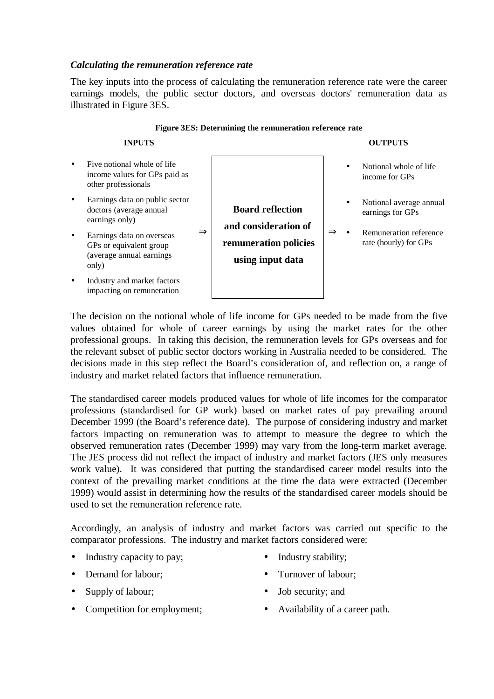#### *Calculating the remuneration reference rate*

The key inputs into the process of calculating the remuneration reference rate were the career earnings models, the public sector doctors, and overseas doctors' remuneration data as illustrated in Figure 3ES.

**Figure 3ES: Determining the remuneration reference rate**

|                        | 1 igure 515. Determining the remuneration reference rate                                                                                                                                   |                                                                                              |  |  |                                                                                                |  |  |
|------------------------|--------------------------------------------------------------------------------------------------------------------------------------------------------------------------------------------|----------------------------------------------------------------------------------------------|--|--|------------------------------------------------------------------------------------------------|--|--|
|                        | <b>INPUTS</b>                                                                                                                                                                              |                                                                                              |  |  | <b>OUTPUTS</b>                                                                                 |  |  |
| $\bullet$              | Five notional whole of life<br>income values for GPs paid as<br>other professionals                                                                                                        |                                                                                              |  |  | Notional whole of life<br>income for GPs                                                       |  |  |
| $\bullet$<br>$\bullet$ | Earnings data on public sector<br>doctors (average annual<br>earnings only)<br>$\Rightarrow$<br>Earnings data on overseas<br>GPs or equivalent group<br>(average annual earnings)<br>only) | <b>Board reflection</b><br>and consideration of<br>remuneration policies<br>using input data |  |  | Notional average annual<br>earnings for GPs<br>Remuneration reference<br>rate (hourly) for GPs |  |  |
| $\bullet$              | Industry and market factors<br>impacting on remuneration                                                                                                                                   |                                                                                              |  |  |                                                                                                |  |  |

The decision on the notional whole of life income for GPs needed to be made from the five values obtained for whole of career earnings by using the market rates for the other professional groups. In taking this decision, the remuneration levels for GPs overseas and for the relevant subset of public sector doctors working in Australia needed to be considered. The decisions made in this step reflect the Board's consideration of, and reflection on, a range of industry and market related factors that influence remuneration.

The standardised career models produced values for whole of life incomes for the comparator professions (standardised for GP work) based on market rates of pay prevailing around December 1999 (the Board's reference date). The purpose of considering industry and market factors impacting on remuneration was to attempt to measure the degree to which the observed remuneration rates (December 1999) may vary from the long-term market average. The JES process did not reflect the impact of industry and market factors (JES only measures work value). It was considered that putting the standardised career model results into the context of the prevailing market conditions at the time the data were extracted (December 1999) would assist in determining how the results of the standardised career models should be used to set the remuneration reference rate.

Accordingly, an analysis of industry and market factors was carried out specific to the comparator professions. The industry and market factors considered were:

- Industry capacity to pay; Industry stability;
- 
- 
- 
- 
- **Demand for labour;** Turnover of labour;
- Supply of labour; Job security; and
- **Competition for employment;** Availability of a career path.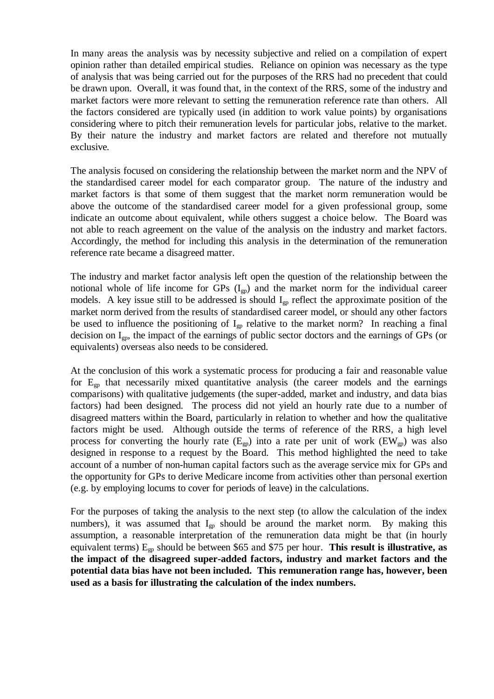In many areas the analysis was by necessity subjective and relied on a compilation of expert opinion rather than detailed empirical studies. Reliance on opinion was necessary as the type of analysis that was being carried out for the purposes of the RRS had no precedent that could be drawn upon. Overall, it was found that, in the context of the RRS, some of the industry and market factors were more relevant to setting the remuneration reference rate than others. All the factors considered are typically used (in addition to work value points) by organisations considering where to pitch their remuneration levels for particular jobs, relative to the market. By their nature the industry and market factors are related and therefore not mutually exclusive.

The analysis focused on considering the relationship between the market norm and the NPV of the standardised career model for each comparator group. The nature of the industry and market factors is that some of them suggest that the market norm remuneration would be above the outcome of the standardised career model for a given professional group, some indicate an outcome about equivalent, while others suggest a choice below. The Board was not able to reach agreement on the value of the analysis on the industry and market factors. Accordingly, the method for including this analysis in the determination of the remuneration reference rate became a disagreed matter.

The industry and market factor analysis left open the question of the relationship between the notional whole of life income for GPs  $(I_{\text{ep}})$  and the market norm for the individual career models. A key issue still to be addressed is should  $I_{gp}$  reflect the approximate position of the market norm derived from the results of standardised career model, or should any other factors be used to influence the positioning of  $I_{gp}$  relative to the market norm? In reaching a final decision on Igp, the impact of the earnings of public sector doctors and the earnings of GPs (or equivalents) overseas also needs to be considered.

At the conclusion of this work a systematic process for producing a fair and reasonable value for  $E_{gp}$  that necessarily mixed quantitative analysis (the career models and the earnings comparisons) with qualitative judgements (the super-added, market and industry, and data bias factors) had been designed. The process did not yield an hourly rate due to a number of disagreed matters within the Board, particularly in relation to whether and how the qualitative factors might be used. Although outside the terms of reference of the RRS, a high level process for converting the hourly rate ( $E_{\text{gn}}$ ) into a rate per unit of work ( $EW_{\text{gn}}$ ) was also designed in response to a request by the Board. This method highlighted the need to take account of a number of non-human capital factors such as the average service mix for GPs and the opportunity for GPs to derive Medicare income from activities other than personal exertion (e.g. by employing locums to cover for periods of leave) in the calculations.

For the purposes of taking the analysis to the next step (to allow the calculation of the index numbers), it was assumed that  $I_{gp}$  should be around the market norm. By making this assumption, a reasonable interpretation of the remuneration data might be that (in hourly equivalent terms) Egp should be between \$65 and \$75 per hour. **This result is illustrative, as the impact of the disagreed super-added factors, industry and market factors and the potential data bias have not been included. This remuneration range has, however, been used as a basis for illustrating the calculation of the index numbers.**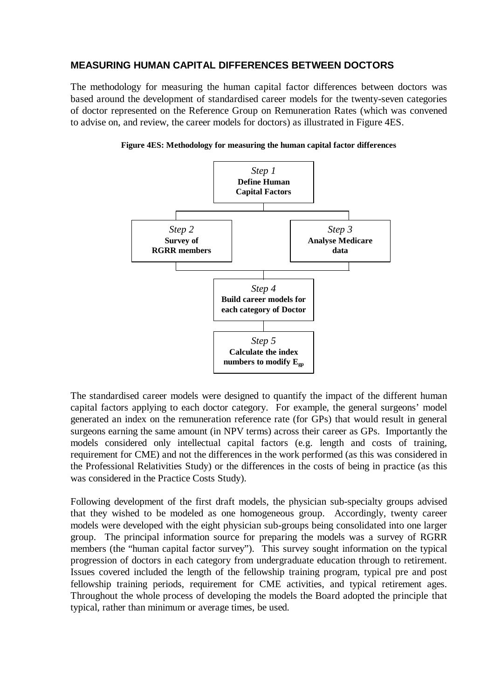## **MEASURING HUMAN CAPITAL DIFFERENCES BETWEEN DOCTORS**

The methodology for measuring the human capital factor differences between doctors was based around the development of standardised career models for the twenty-seven categories of doctor represented on the Reference Group on Remuneration Rates (which was convened to advise on, and review, the career models for doctors) as illustrated in Figure 4ES.



**Figure 4ES: Methodology for measuring the human capital factor differences**

The standardised career models were designed to quantify the impact of the different human capital factors applying to each doctor category. For example, the general surgeons' model generated an index on the remuneration reference rate (for GPs) that would result in general surgeons earning the same amount (in NPV terms) across their career as GPs. Importantly the models considered only intellectual capital factors (e.g. length and costs of training, requirement for CME) and not the differences in the work performed (as this was considered in the Professional Relativities Study) or the differences in the costs of being in practice (as this was considered in the Practice Costs Study).

Following development of the first draft models, the physician sub-specialty groups advised that they wished to be modeled as one homogeneous group. Accordingly, twenty career models were developed with the eight physician sub-groups being consolidated into one larger group. The principal information source for preparing the models was a survey of RGRR members (the "human capital factor survey"). This survey sought information on the typical progression of doctors in each category from undergraduate education through to retirement. Issues covered included the length of the fellowship training program, typical pre and post fellowship training periods, requirement for CME activities, and typical retirement ages. Throughout the whole process of developing the models the Board adopted the principle that typical, rather than minimum or average times, be used.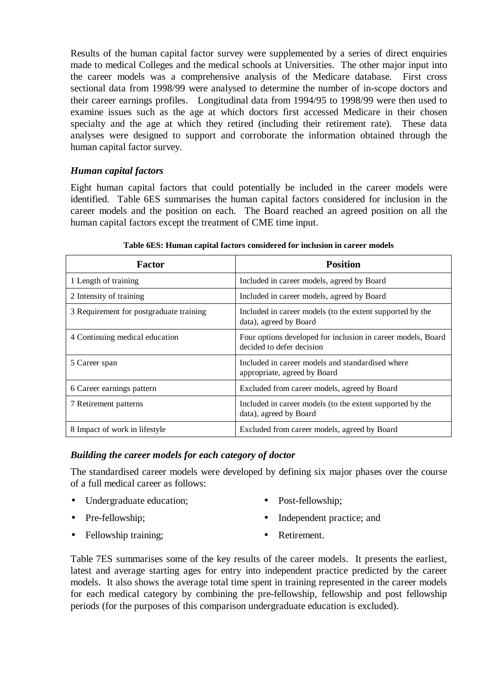Results of the human capital factor survey were supplemented by a series of direct enquiries made to medical Colleges and the medical schools at Universities. The other major input into the career models was a comprehensive analysis of the Medicare database. First cross sectional data from 1998/99 were analysed to determine the number of in-scope doctors and their career earnings profiles. Longitudinal data from 1994/95 to 1998/99 were then used to examine issues such as the age at which doctors first accessed Medicare in their chosen specialty and the age at which they retired (including their retirement rate). These data analyses were designed to support and corroborate the information obtained through the human capital factor survey.

# *Human capital factors*

Eight human capital factors that could potentially be included in the career models were identified. Table 6ES summarises the human capital factors considered for inclusion in the career models and the position on each. The Board reached an agreed position on all the human capital factors except the treatment of CME time input.

| <b>Factor</b>                           | <b>Position</b>                                                                           |
|-----------------------------------------|-------------------------------------------------------------------------------------------|
| 1 Length of training                    | Included in career models, agreed by Board                                                |
| 2 Intensity of training                 | Included in career models, agreed by Board                                                |
| 3 Requirement for postgraduate training | Included in career models (to the extent supported by the<br>data), agreed by Board       |
| 4 Continuing medical education          | Four options developed for inclusion in career models, Board<br>decided to defer decision |
| 5 Career span                           | Included in career models and standardised where<br>appropriate, agreed by Board          |
| 6 Career earnings pattern               | Excluded from career models, agreed by Board                                              |
| 7 Retirement patterns                   | Included in career models (to the extent supported by the<br>data), agreed by Board       |
| 8 Impact of work in lifestyle           | Excluded from career models, agreed by Board                                              |

**Table 6ES: Human capital factors considered for inclusion in career models**

## *Building the career models for each category of doctor*

The standardised career models were developed by defining six major phases over the course of a full medical career as follows:

- Undergraduate education; Post-fellowship;
- 
- 
- **•** Independent practice; and **•** Independent practice; and
- Fellowship training: Retirement.
- 

Table 7ES summarises some of the key results of the career models. It presents the earliest, latest and average starting ages for entry into independent practice predicted by the career models. It also shows the average total time spent in training represented in the career models for each medical category by combining the pre-fellowship, fellowship and post fellowship periods (for the purposes of this comparison undergraduate education is excluded).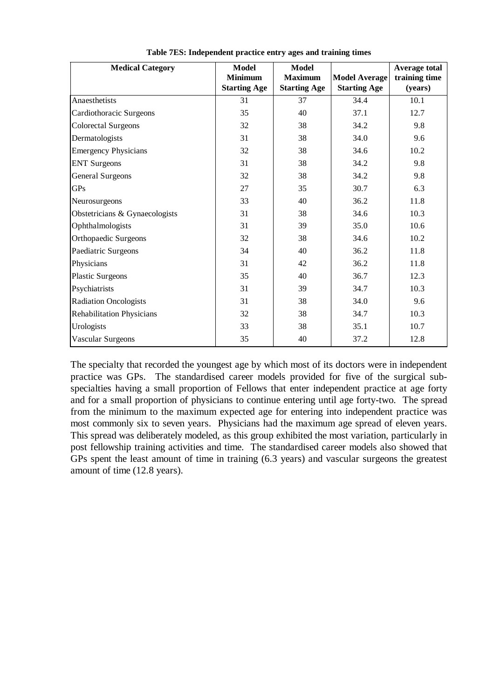| <b>Medical Category</b>          | <b>Model</b><br><b>Minimum</b><br><b>Starting Age</b> | <b>Model</b><br><b>Maximum</b><br><b>Starting Age</b> | <b>Model Average</b><br><b>Starting Age</b> | <b>Average total</b><br>training time<br>(years) |
|----------------------------------|-------------------------------------------------------|-------------------------------------------------------|---------------------------------------------|--------------------------------------------------|
| Anaesthetists                    | 31                                                    | 37                                                    | 34.4                                        | 10.1                                             |
| Cardiothoracic Surgeons          | 35                                                    | 40                                                    | 37.1                                        | 12.7                                             |
| <b>Colorectal Surgeons</b>       | 32                                                    | 38                                                    | 34.2                                        | 9.8                                              |
| Dermatologists                   | 31                                                    | 38                                                    | 34.0                                        | 9.6                                              |
| <b>Emergency Physicians</b>      | 32                                                    | 38                                                    | 34.6                                        | 10.2                                             |
| <b>ENT</b> Surgeons              | 31                                                    | 38                                                    | 34.2                                        | 9.8                                              |
| <b>General Surgeons</b>          | 32                                                    | 38                                                    | 34.2                                        | 9.8                                              |
| <b>GPs</b>                       | 27                                                    | 35                                                    | 30.7                                        | 6.3                                              |
| Neurosurgeons                    | 33                                                    | 40                                                    | 36.2                                        | 11.8                                             |
| Obstetricians & Gynaecologists   | 31                                                    | 38                                                    | 34.6                                        | 10.3                                             |
| Ophthalmologists                 | 31                                                    | 39                                                    | 35.0                                        | 10.6                                             |
| Orthopaedic Surgeons             | 32                                                    | 38                                                    | 34.6                                        | 10.2                                             |
| Paediatric Surgeons              | 34                                                    | 40                                                    | 36.2                                        | 11.8                                             |
| Physicians                       | 31                                                    | 42                                                    | 36.2                                        | 11.8                                             |
| <b>Plastic Surgeons</b>          | 35                                                    | 40                                                    | 36.7                                        | 12.3                                             |
| Psychiatrists                    | 31                                                    | 39                                                    | 34.7                                        | 10.3                                             |
| <b>Radiation Oncologists</b>     | 31                                                    | 38                                                    | 34.0                                        | 9.6                                              |
| <b>Rehabilitation Physicians</b> | 32                                                    | 38                                                    | 34.7                                        | 10.3                                             |
| Urologists                       | 33                                                    | 38                                                    | 35.1                                        | 10.7                                             |
| Vascular Surgeons                | 35                                                    | 40                                                    | 37.2                                        | 12.8                                             |

**Table 7ES: Independent practice entry ages and training times**

The specialty that recorded the youngest age by which most of its doctors were in independent practice was GPs. The standardised career models provided for five of the surgical subspecialties having a small proportion of Fellows that enter independent practice at age forty and for a small proportion of physicians to continue entering until age forty-two. The spread from the minimum to the maximum expected age for entering into independent practice was most commonly six to seven years. Physicians had the maximum age spread of eleven years. This spread was deliberately modeled, as this group exhibited the most variation, particularly in post fellowship training activities and time. The standardised career models also showed that GPs spent the least amount of time in training (6.3 years) and vascular surgeons the greatest amount of time (12.8 years).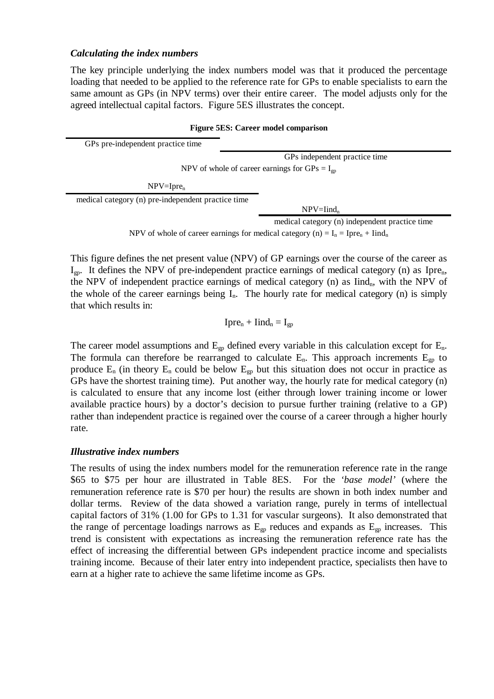#### *Calculating the index numbers*

The key principle underlying the index numbers model was that it produced the percentage loading that needed to be applied to the reference rate for GPs to enable specialists to earn the same amount as GPs (in NPV terms) over their entire career. The model adjusts only for the agreed intellectual capital factors. Figure 5ES illustrates the concept.

# **Figure 5ES: Career model comparison** GPs pre-independent practice time GPs independent practice time NPV of whole of career earnings for  $GP_s = I_{on}$  $NPV = Ipre_n$ medical category (n) pre-independent practice time  $NPV=Iind_n$ medical category (n) independent practice time

NPV of whole of career earnings for medical category (n) =  $I_n$  = Ipre<sub>n</sub> + Iind<sub>n</sub>

This figure defines the net present value (NPV) of GP earnings over the course of the career as  $I_{gp}$ . It defines the NPV of pre-independent practice earnings of medical category (n) as Ipre<sub>n</sub>, the NPV of independent practice earnings of medical category  $(n)$  as Iind<sub>n</sub>, with the NPV of the whole of the career earnings being  $I_n$ . The hourly rate for medical category (n) is simply that which results in:

$$
Ipre_n + \text{Iind}_n = I_{gp}
$$

The career model assumptions and  $E_{gp}$  defined every variable in this calculation except for  $E_n$ . The formula can therefore be rearranged to calculate  $E_n$ . This approach increments  $E_{gp}$  to produce  $E_n$  (in theory  $E_n$  could be below  $E_{gp}$  but this situation does not occur in practice as GPs have the shortest training time). Put another way, the hourly rate for medical category (n) is calculated to ensure that any income lost (either through lower training income or lower available practice hours) by a doctor's decision to pursue further training (relative to a GP) rather than independent practice is regained over the course of a career through a higher hourly rate.

#### *Illustrative index numbers*

The results of using the index numbers model for the remuneration reference rate in the range \$65 to \$75 per hour are illustrated in Table 8ES. For the *'base model'* (where the remuneration reference rate is \$70 per hour) the results are shown in both index number and dollar terms. Review of the data showed a variation range, purely in terms of intellectual capital factors of 31% (1.00 for GPs to 1.31 for vascular surgeons). It also demonstrated that the range of percentage loadings narrows as  $E_{gp}$  reduces and expands as  $E_{gp}$  increases. This trend is consistent with expectations as increasing the remuneration reference rate has the effect of increasing the differential between GPs independent practice income and specialists training income. Because of their later entry into independent practice, specialists then have to earn at a higher rate to achieve the same lifetime income as GPs.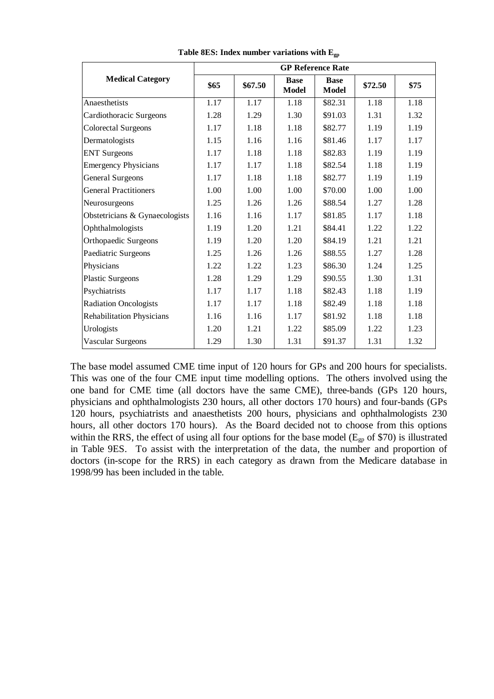|                                  | <b>GP Reference Rate</b> |         |                             |                             |         |      |  |  |
|----------------------------------|--------------------------|---------|-----------------------------|-----------------------------|---------|------|--|--|
| <b>Medical Category</b>          | \$65                     | \$67.50 | <b>Base</b><br><b>Model</b> | <b>Base</b><br><b>Model</b> | \$72.50 | \$75 |  |  |
| Anaesthetists                    | 1.17                     | 1.17    | 1.18                        | \$82.31                     | 1.18    | 1.18 |  |  |
| Cardiothoracic Surgeons          | 1.28                     | 1.29    | 1.30                        | \$91.03                     | 1.31    | 1.32 |  |  |
| <b>Colorectal Surgeons</b>       | 1.17                     | 1.18    | 1.18                        | \$82.77                     | 1.19    | 1.19 |  |  |
| Dermatologists                   | 1.15                     | 1.16    | 1.16                        | \$81.46                     | 1.17    | 1.17 |  |  |
| <b>ENT</b> Surgeons              | 1.17                     | 1.18    | 1.18                        | \$82.83                     | 1.19    | 1.19 |  |  |
| <b>Emergency Physicians</b>      | 1.17                     | 1.17    | 1.18                        | \$82.54                     | 1.18    | 1.19 |  |  |
| <b>General Surgeons</b>          | 1.17                     | 1.18    | 1.18                        | \$82.77                     | 1.19    | 1.19 |  |  |
| <b>General Practitioners</b>     | 1.00                     | 1.00    | 1.00                        | \$70.00                     | 1.00    | 1.00 |  |  |
| Neurosurgeons                    | 1.25                     | 1.26    | 1.26                        | \$88.54                     | 1.27    | 1.28 |  |  |
| Obstetricians & Gynaecologists   | 1.16                     | 1.16    | 1.17                        | \$81.85                     | 1.17    | 1.18 |  |  |
| Ophthalmologists                 | 1.19                     | 1.20    | 1.21                        | \$84.41                     | 1.22    | 1.22 |  |  |
| Orthopaedic Surgeons             | 1.19                     | 1.20    | 1.20                        | \$84.19                     | 1.21    | 1.21 |  |  |
| Paediatric Surgeons              | 1.25                     | 1.26    | 1.26                        | \$88.55                     | 1.27    | 1.28 |  |  |
| Physicians                       | 1.22                     | 1.22    | 1.23                        | \$86.30                     | 1.24    | 1.25 |  |  |
| <b>Plastic Surgeons</b>          | 1.28                     | 1.29    | 1.29                        | \$90.55                     | 1.30    | 1.31 |  |  |
| Psychiatrists                    | 1.17                     | 1.17    | 1.18                        | \$82.43                     | 1.18    | 1.19 |  |  |
| <b>Radiation Oncologists</b>     | 1.17                     | 1.17    | 1.18                        | \$82.49                     | 1.18    | 1.18 |  |  |
| <b>Rehabilitation Physicians</b> | 1.16                     | 1.16    | 1.17                        | \$81.92                     | 1.18    | 1.18 |  |  |
| Urologists                       | 1.20                     | 1.21    | 1.22                        | \$85.09                     | 1.22    | 1.23 |  |  |
| Vascular Surgeons                | 1.29                     | 1.30    | 1.31                        | \$91.37                     | 1.31    | 1.32 |  |  |

**Table 8ES: Index number variations with Egp**

The base model assumed CME time input of 120 hours for GPs and 200 hours for specialists. This was one of the four CME input time modelling options. The others involved using the one band for CME time (all doctors have the same CME), three-bands (GPs 120 hours, physicians and ophthalmologists 230 hours, all other doctors 170 hours) and four-bands (GPs 120 hours, psychiatrists and anaesthetists 200 hours, physicians and ophthalmologists 230 hours, all other doctors 170 hours). As the Board decided not to choose from this options within the RRS, the effect of using all four options for the base model ( $E_{gp}$  of \$70) is illustrated in Table 9ES. To assist with the interpretation of the data, the number and proportion of doctors (in-scope for the RRS) in each category as drawn from the Medicare database in 1998/99 has been included in the table.